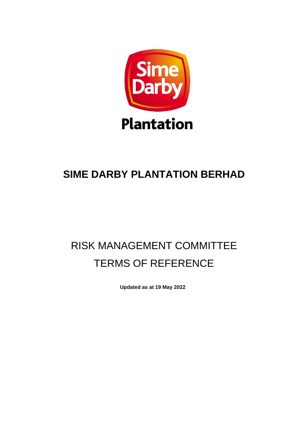

## **SIME DARBY PLANTATION BERHAD**

# RISK MANAGEMENT COMMITTEE TERMS OF REFERENCE

**Updated as at 19 May 2022**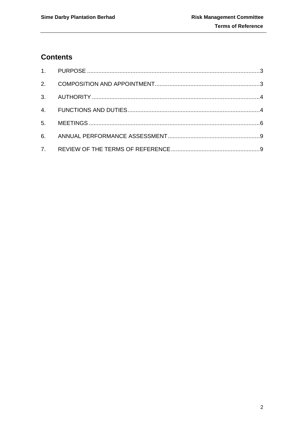### **Contents**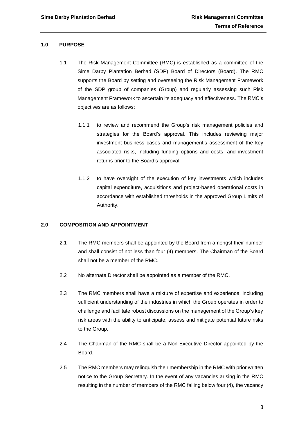#### <span id="page-2-0"></span>**1.0 PURPOSE**

- 1.1 The Risk Management Committee (RMC) is established as a committee of the Sime Darby Plantation Berhad (SDP) Board of Directors (Board). The RMC supports the Board by setting and overseeing the Risk Management Framework of the SDP group of companies (Group) and regularly assessing such Risk Management Framework to ascertain its adequacy and effectiveness. The RMC's objectives are as follows:
	- 1.1.1 to review and recommend the Group's risk management policies and strategies for the Board's approval. This includes reviewing major investment business cases and management's assessment of the key associated risks, including funding options and costs, and investment returns prior to the Board's approval.
	- 1.1.2 to have oversight of the execution of key investments which includes capital expenditure, acquisitions and project-based operational costs in accordance with established thresholds in the approved Group Limits of Authority.

#### <span id="page-2-1"></span>**2.0 COMPOSITION AND APPOINTMENT**

- 2.1 The RMC members shall be appointed by the Board from amongst their number and shall consist of not less than four (4) members. The Chairman of the Board shall not be a member of the RMC.
- 2.2 No alternate Director shall be appointed as a member of the RMC.
- 2.3 The RMC members shall have a mixture of expertise and experience, including sufficient understanding of the industries in which the Group operates in order to challenge and facilitate robust discussions on the management of the Group's key risk areas with the ability to anticipate, assess and mitigate potential future risks to the Group.
- 2.4 The Chairman of the RMC shall be a Non-Executive Director appointed by the Board.
- 2.5 The RMC members may relinquish their membership in the RMC with prior written notice to the Group Secretary. In the event of any vacancies arising in the RMC resulting in the number of members of the RMC falling below four (4), the vacancy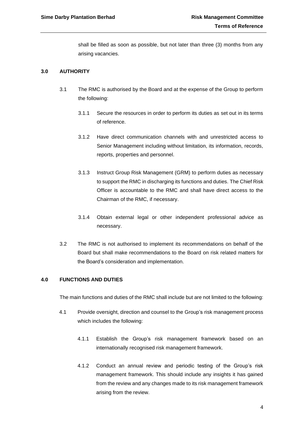shall be filled as soon as possible, but not later than three (3) months from any arising vacancies.

#### <span id="page-3-0"></span>**3.0 AUTHORITY**

- 3.1 The RMC is authorised by the Board and at the expense of the Group to perform the following:
	- 3.1.1 Secure the resources in order to perform its duties as set out in its terms of reference.
	- 3.1.2 Have direct communication channels with and unrestricted access to Senior Management including without limitation, its information, records, reports, properties and personnel.
	- 3.1.3 Instruct Group Risk Management (GRM) to perform duties as necessary to support the RMC in discharging its functions and duties. The Chief Risk Officer is accountable to the RMC and shall have direct access to the Chairman of the RMC, if necessary.
	- 3.1.4 Obtain external legal or other independent professional advice as necessary.
- 3.2 The RMC is not authorised to implement its recommendations on behalf of the Board but shall make recommendations to the Board on risk related matters for the Board's consideration and implementation.

#### <span id="page-3-1"></span>**4.0 FUNCTIONS AND DUTIES**

The main functions and duties of the RMC shall include but are not limited to the following:

- 4.1 Provide oversight, direction and counsel to the Group's risk management process which includes the following:
	- 4.1.1 Establish the Group's risk management framework based on an internationally recognised risk management framework.
	- 4.1.2 Conduct an annual review and periodic testing of the Group's risk management framework. This should include any insights it has gained from the review and any changes made to its risk management framework arising from the review.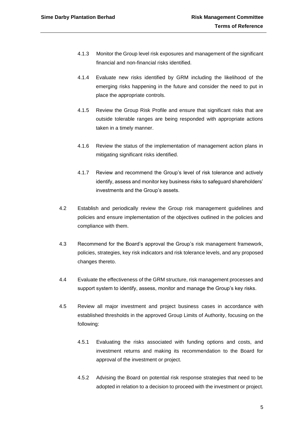- 4.1.3 Monitor the Group level risk exposures and management of the significant financial and non-financial risks identified.
- 4.1.4 Evaluate new risks identified by GRM including the likelihood of the emerging risks happening in the future and consider the need to put in place the appropriate controls.
- 4.1.5 Review the Group Risk Profile and ensure that significant risks that are outside tolerable ranges are being responded with appropriate actions taken in a timely manner.
- 4.1.6 Review the status of the implementation of management action plans in mitigating significant risks identified.
- 4.1.7 Review and recommend the Group's level of risk tolerance and actively identify, assess and monitor key business risks to safeguard shareholders' investments and the Group's assets.
- 4.2 Establish and periodically review the Group risk management guidelines and policies and ensure implementation of the objectives outlined in the policies and compliance with them.
- 4.3 Recommend for the Board's approval the Group's risk management framework, policies, strategies, key risk indicators and risk tolerance levels, and any proposed changes thereto.
- 4.4 Evaluate the effectiveness of the GRM structure, risk management processes and support system to identify, assess, monitor and manage the Group's key risks.
- 4.5 Review all major investment and project business cases in accordance with established thresholds in the approved Group Limits of Authority, focusing on the following:
	- 4.5.1 Evaluating the risks associated with funding options and costs, and investment returns and making its recommendation to the Board for approval of the investment or project.
	- 4.5.2 Advising the Board on potential risk response strategies that need to be adopted in relation to a decision to proceed with the investment or project.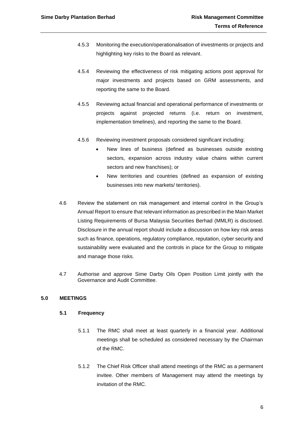- 4.5.3 Monitoring the execution/operationalisation of investments or projects and highlighting key risks to the Board as relevant.
- 4.5.4 Reviewing the effectiveness of risk mitigating actions post approval for major investments and projects based on GRM assessments, and reporting the same to the Board.
- 4.5.5 Reviewing actual financial and operational performance of investments or projects against projected returns (i.e. return on investment, implementation timelines), and reporting the same to the Board.
- 4.5.6 Reviewing investment proposals considered significant including:
	- New lines of business (defined as businesses outside existing sectors, expansion across industry value chains within current sectors and new franchises); or
	- New territories and countries (defined as expansion of existing businesses into new markets/ territories).
- 4.6 Review the statement on risk management and internal control in the Group's Annual Report to ensure that relevant information as prescribed in the Main Market Listing Requirements of Bursa Malaysia Securities Berhad (MMLR) is disclosed. Disclosure in the annual report should include a discussion on how key risk areas such as finance, operations, regulatory compliance, reputation, cyber security and sustainability were evaluated and the controls in place for the Group to mitigate and manage those risks.
- 4.7 Authorise and approve Sime Darby Oils Open Position Limit jointly with the Governance and Audit Committee.

#### **5.0 MEETINGS**

#### **5.1 Frequency**

- 5.1.1 The RMC shall meet at least quarterly in a financial year. Additional meetings shall be scheduled as considered necessary by the Chairman of the RMC.
- 5.1.2 The Chief Risk Officer shall attend meetings of the RMC as a permanent invitee. Other members of Management may attend the meetings by invitation of the RMC.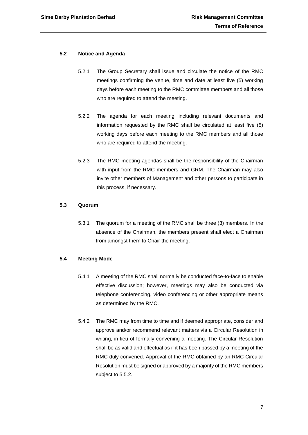#### **5.2 Notice and Agenda**

- 5.2.1 The Group Secretary shall issue and circulate the notice of the RMC meetings confirming the venue, time and date at least five (5) working days before each meeting to the RMC committee members and all those who are required to attend the meeting.
- 5.2.2 The agenda for each meeting including relevant documents and information requested by the RMC shall be circulated at least five (5) working days before each meeting to the RMC members and all those who are required to attend the meeting.
- 5.2.3 The RMC meeting agendas shall be the responsibility of the Chairman with input from the RMC members and GRM. The Chairman may also invite other members of Management and other persons to participate in this process, if necessary.

#### **5.3 Quorum**

5.3.1 The quorum for a meeting of the RMC shall be three (3) members. In the absence of the Chairman, the members present shall elect a Chairman from amongst them to Chair the meeting.

#### **5.4 Meeting Mode**

- 5.4.1 A meeting of the RMC shall normally be conducted face-to-face to enable effective discussion; however, meetings may also be conducted via telephone conferencing, video conferencing or other appropriate means as determined by the RMC.
- 5.4.2 The RMC may from time to time and if deemed appropriate, consider and approve and/or recommend relevant matters via a Circular Resolution in writing, in lieu of formally convening a meeting. The Circular Resolution shall be as valid and effectual as if it has been passed by a meeting of the RMC duly convened. Approval of the RMC obtained by an RMC Circular Resolution must be signed or approved by a majority of the RMC members subject to 5.5.2.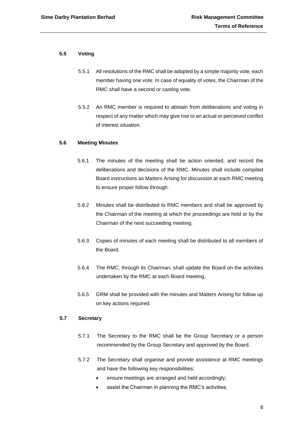#### **5.5 Voting**

- 5.5.1 All resolutions of the RMC shall be adopted by a simple majority vote, each member having one vote. In case of equality of votes, the Chairman of the RMC shall have a second or casting vote.
- 5.5.2 An RMC member is required to abstain from deliberations and voting in respect of any matter which may give rise to an actual or perceived conflict of interest situation.

#### **5.6 Meeting Minutes**

- 5.6.1 The minutes of the meeting shall be action oriented, and record the deliberations and decisions of the RMC. Minutes shall include compiled Board instructions as Matters Arising for discussion at each RMC meeting to ensure proper follow through.
- 5.6.2 Minutes shall be distributed to RMC members and shall be approved by the Chairman of the meeting at which the proceedings are held or by the Chairman of the next succeeding meeting.
- 5.6.3 Copies of minutes of each meeting shall be distributed to all members of the Board.
- 5.6.4 The RMC, through its Chairman, shall update the Board on the activities undertaken by the RMC at each Board meeting.
- 5.6.5 GRM shall be provided with the minutes and Matters Arising for follow up on key actions required.

#### **5.7 Secretary**

- 5.7.1 The Secretary to the RMC shall be the Group Secretary or a person recommended by the Group Secretary and approved by the Board.
- 5.7.2 The Secretary shall organise and provide assistance at RMC meetings and have the following key responsibilities:
	- ensure meetings are arranged and held accordingly;
	- assist the Chairman in planning the RMC's activities;